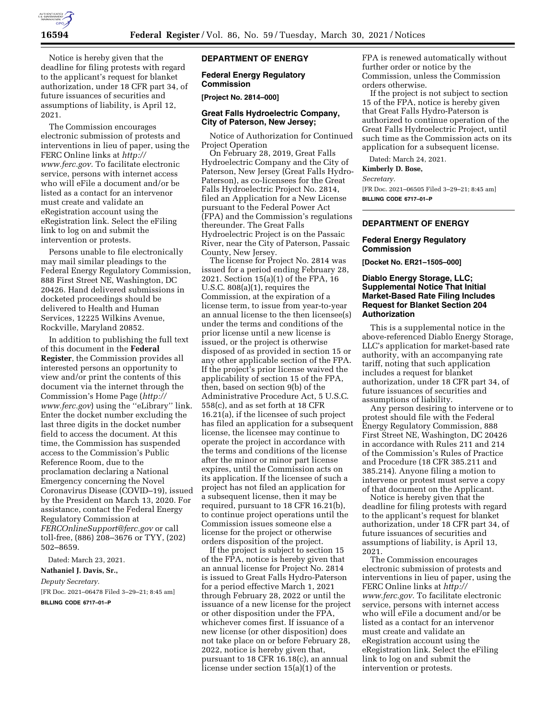

Notice is hereby given that the deadline for filing protests with regard to the applicant's request for blanket authorization, under 18 CFR part 34, of future issuances of securities and assumptions of liability, is April 12, 2021.

The Commission encourages electronic submission of protests and interventions in lieu of paper, using the FERC Online links at *[http://](http://www.ferc.gov) [www.ferc.gov.](http://www.ferc.gov)* To facilitate electronic service, persons with internet access who will eFile a document and/or be listed as a contact for an intervenor must create and validate an eRegistration account using the eRegistration link. Select the eFiling link to log on and submit the intervention or protests.

Persons unable to file electronically may mail similar pleadings to the Federal Energy Regulatory Commission, 888 First Street NE, Washington, DC 20426. Hand delivered submissions in docketed proceedings should be delivered to Health and Human Services, 12225 Wilkins Avenue, Rockville, Maryland 20852.

In addition to publishing the full text of this document in the **Federal Register**, the Commission provides all interested persons an opportunity to view and/or print the contents of this document via the internet through the Commission's Home Page (*[http://](http://www.ferc.gov) [www.ferc.gov](http://www.ferc.gov)*) using the ''eLibrary'' link. Enter the docket number excluding the last three digits in the docket number field to access the document. At this time, the Commission has suspended access to the Commission's Public Reference Room, due to the proclamation declaring a National Emergency concerning the Novel Coronavirus Disease (COVID–19), issued by the President on March 13, 2020. For assistance, contact the Federal Energy Regulatory Commission at *[FERCOnlineSupport@ferc.gov](mailto:FERCOnlineSupport@ferc.gov)* or call toll-free, (886) 208–3676 or TYY, (202) 502–8659.

Dated: March 23, 2021.

**Nathaniel J. Davis, Sr.,** 

*Deputy Secretary.* 

[FR Doc. 2021–06478 Filed 3–29–21; 8:45 am] **BILLING CODE 6717–01–P** 

## **DEPARTMENT OF ENERGY**

## **Federal Energy Regulatory Commission**

#### **[Project No. 2814–000]**

## **Great Falls Hydroelectric Company, City of Paterson, New Jersey;**

Notice of Authorization for Continued Project Operation

On February 28, 2019, Great Falls Hydroelectric Company and the City of Paterson, New Jersey (Great Falls Hydro-Paterson), as co-licensees for the Great Falls Hydroelectric Project No. 2814, filed an Application for a New License pursuant to the Federal Power Act (FPA) and the Commission's regulations thereunder. The Great Falls Hydroelectric Project is on the Passaic River, near the City of Paterson, Passaic County, New Jersey.

The license for Project No. 2814 was issued for a period ending February 28, 2021. Section 15(a)(1) of the FPA, 16 U.S.C. 808(a)(1), requires the Commission, at the expiration of a license term, to issue from year-to-year an annual license to the then licensee(s) under the terms and conditions of the prior license until a new license is issued, or the project is otherwise disposed of as provided in section 15 or any other applicable section of the FPA. If the project's prior license waived the applicability of section 15 of the FPA, then, based on section 9(b) of the Administrative Procedure Act, 5 U.S.C. 558(c), and as set forth at 18 CFR 16.21(a), if the licensee of such project has filed an application for a subsequent license, the licensee may continue to operate the project in accordance with the terms and conditions of the license after the minor or minor part license expires, until the Commission acts on its application. If the licensee of such a project has not filed an application for a subsequent license, then it may be required, pursuant to 18 CFR 16.21(b), to continue project operations until the Commission issues someone else a license for the project or otherwise orders disposition of the project.

If the project is subject to section 15 of the FPA, notice is hereby given that an annual license for Project No. 2814 is issued to Great Falls Hydro-Paterson for a period effective March 1, 2021 through February 28, 2022 or until the issuance of a new license for the project or other disposition under the FPA, whichever comes first. If issuance of a new license (or other disposition) does not take place on or before February 28, 2022, notice is hereby given that, pursuant to 18 CFR 16.18(c), an annual license under section 15(a)(1) of the

FPA is renewed automatically without further order or notice by the Commission, unless the Commission orders otherwise.

If the project is not subject to section 15 of the FPA, notice is hereby given that Great Falls Hydro-Paterson is authorized to continue operation of the Great Falls Hydroelectric Project, until such time as the Commission acts on its application for a subsequent license.

Dated: March 24, 2021.

#### **Kimberly D. Bose,**

*Secretary.* 

[FR Doc. 2021–06505 Filed 3–29–21; 8:45 am] **BILLING CODE 6717–01–P** 

# **DEPARTMENT OF ENERGY**

#### **Federal Energy Regulatory Commission**

**[Docket No. ER21–1505–000]** 

#### **Diablo Energy Storage, LLC; Supplemental Notice That Initial Market-Based Rate Filing Includes Request for Blanket Section 204 Authorization**

This is a supplemental notice in the above-referenced Diablo Energy Storage, LLC's application for market-based rate authority, with an accompanying rate tariff, noting that such application includes a request for blanket authorization, under 18 CFR part 34, of future issuances of securities and assumptions of liability.

Any person desiring to intervene or to protest should file with the Federal Energy Regulatory Commission, 888 First Street NE, Washington, DC 20426 in accordance with Rules 211 and 214 of the Commission's Rules of Practice and Procedure (18 CFR 385.211 and 385.214). Anyone filing a motion to intervene or protest must serve a copy of that document on the Applicant.

Notice is hereby given that the deadline for filing protests with regard to the applicant's request for blanket authorization, under 18 CFR part 34, of future issuances of securities and assumptions of liability, is April 13, 2021.

The Commission encourages electronic submission of protests and interventions in lieu of paper, using the FERC Online links at *[http://](http://www.ferc.gov) [www.ferc.gov.](http://www.ferc.gov)* To facilitate electronic service, persons with internet access who will eFile a document and/or be listed as a contact for an intervenor must create and validate an eRegistration account using the eRegistration link. Select the eFiling link to log on and submit the intervention or protests.